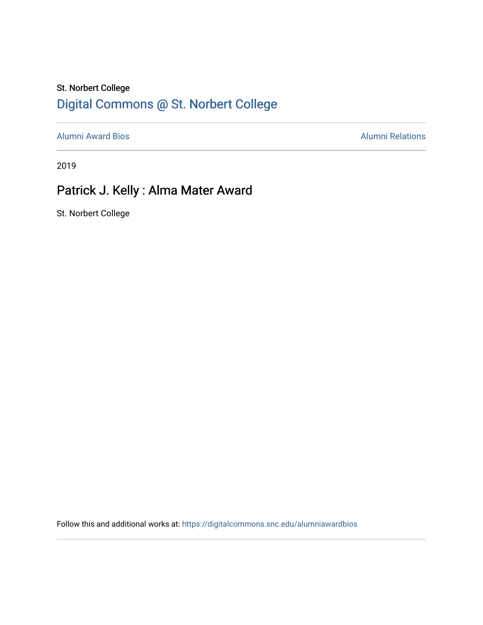## St. Norbert College [Digital Commons @ St. Norbert College](https://digitalcommons.snc.edu/)

[Alumni Award Bios](https://digitalcommons.snc.edu/alumniawardbios) **Alumni Relations** Alumni Relations

2019

## Patrick J. Kelly : Alma Mater Award

St. Norbert College

Follow this and additional works at: [https://digitalcommons.snc.edu/alumniawardbios](https://digitalcommons.snc.edu/alumniawardbios?utm_source=digitalcommons.snc.edu%2Falumniawardbios%2F67&utm_medium=PDF&utm_campaign=PDFCoverPages)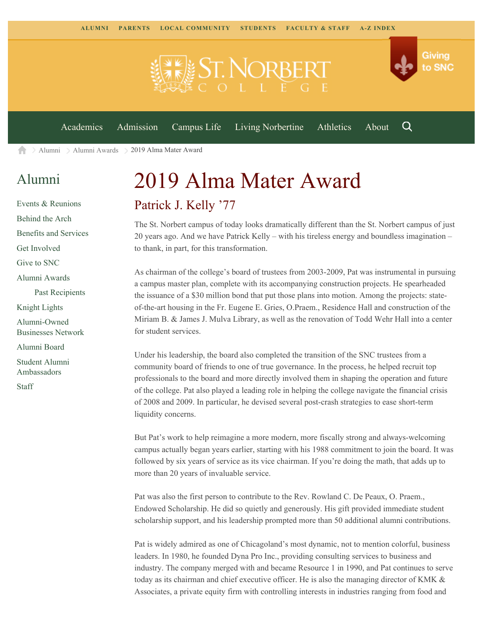

[Alumni](https://www.snc.edu/alumni/) [Alumni Awards](https://www.snc.edu/alumni/awards/) 2019 Alma Mater Award A

## [Alumni](https://www.snc.edu/alumni/index.html)

[Events & Reunions](https://www.snc.edu/alumni/event/index.html) [Behind the Arch](https://www.snc.edu/alumni/event/behindthearch/) [Benefits and Services](https://www.snc.edu/alumni/benefits.html) [Get Involved](https://www.snc.edu/alumni/getinvolved.html) [Give to SNC](http://giving.snc.edu/) [Alumni Awards](https://www.snc.edu/alumni/awards/index.html) [Past Recipients](https://www.snc.edu/alumni/awards/recipients.html) [Knight Lights](https://www.snc.edu/alumni/knightlights/index.html) [Alumni-Owned](https://www.snc.edu/alumni/directory/index.html) [Businesses Network](https://www.snc.edu/alumni/directory/index.html) [Alumni Board](https://www.snc.edu/alumni/alumniboard.html) [Student Alumni](https://www.snc.edu/alumni/saa.html) [Ambassadors](https://www.snc.edu/alumni/saa.html) [Staff](https://www.snc.edu/alumni/contactus.html)

## 2019 Alma Mater Award Patrick J. Kelly '77

The St. Norbert campus of today looks dramatically different than the St. Norbert campus of just 20 years ago. And we have Patrick Kelly – with his tireless energy and boundless imagination – to thank, in part, for this transformation.

As chairman of the college's board of trustees from 2003-2009, Pat was instrumental in pursuing a campus master plan, complete with its accompanying construction projects. He spearheaded the issuance of a \$30 million bond that put those plans into motion. Among the projects: stateof-the-art housing in the Fr. Eugene E. Gries, O.Praem., Residence Hall and construction of the Miriam B. & James J. Mulva Library, as well as the renovation of Todd Wehr Hall into a center for student services.

Under his leadership, the board also completed the transition of the SNC trustees from a community board of friends to one of true governance. In the process, he helped recruit top professionals to the board and more directly involved them in shaping the operation and future of the college. Pat also played a leading role in helping the college navigate the financial crisis of 2008 and 2009. In particular, he devised several post-crash strategies to ease short-term liquidity concerns.

But Pat's work to help reimagine a more modern, more fiscally strong and always-welcoming campus actually began years earlier, starting with his 1988 commitment to join the board. It was followed by six years of service as its vice chairman. If you're doing the math, that adds up to more than 20 years of invaluable service.

Pat was also the first person to contribute to the Rev. Rowland C. De Peaux, O. Praem., Endowed Scholarship. He did so quietly and generously. His gift provided immediate student scholarship support, and his leadership prompted more than 50 additional alumni contributions.

Pat is widely admired as one of Chicagoland's most dynamic, not to mention colorful, business leaders. In 1980, he founded Dyna Pro Inc., providing consulting services to business and industry. The company merged with and became Resource 1 in 1990, and Pat continues to serve today as its chairman and chief executive officer. He is also the managing director of KMK & Associates, a private equity firm with controlling interests in industries ranging from food and